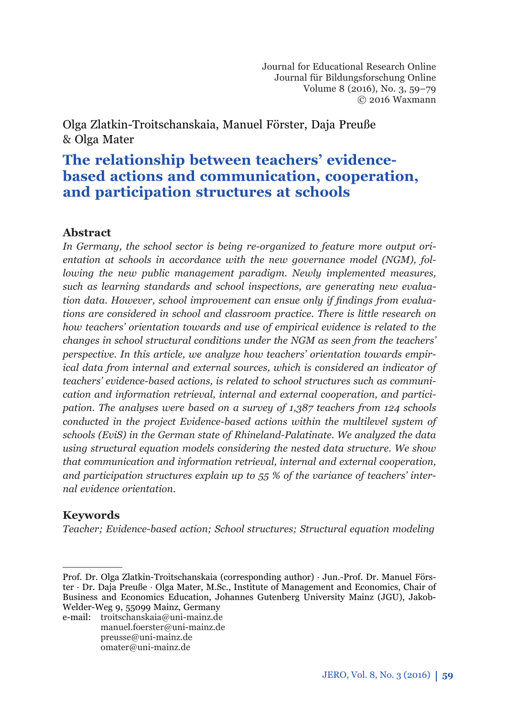# **The relationship between teachers' evidencebased actions and communication, cooperation, and participation structures at schools**

## **Abstract**

*In Germany, the school sector is being re-organized to feature more output orientation at schools in accordance with the new governance model (NGM), following the new public management paradigm. Newly implemented measures, such as learning standards and school inspections, are generating new evalua*tion data. However, school improvement can ensue only if findings from evalua*tions are considered in school and classroom practice. There is little research on how teachers' orientation towards and use of empirical evidence is related to the changes in school structural conditions under the NGM as seen from the teachers' perspective. In this article, we analyze how teachers' orientation towards empirical data from internal and external sources, which is considered an indicator of teachers' evidence-based actions, is related to school structures such as communication and information retrieval, internal and external cooperation, and participation. The analyses were based on a survey of 1,387 teachers from 124 schools conducted in the project Evidence-based actions within the multilevel system of schools (EviS) in the German state of Rhineland-Palatinate. We analyzed the data using structural equation models considering the nested data structure. We show that communication and information retrieval, internal and external cooperation, and participation structures explain up to 55 % of the variance of teachers' internal evidence orientation.*

# **Keywords**

*Teacher; Evidence-based action; School structures; Structural equation modeling*

e-mail: troitschanskaia@uni-mainz.de manuel.foerster@uni-mainz.de preusse@uni-mainz.de omater@uni-mainz.de

Prof. Dr. Olga Zlatkin-Troitschanskaia (corresponding author) · Jun.-Prof. Dr. Manuel Förster · Dr. Daja Preuße · Olga Mater, M.Sc., Institute of Management and Economics, Chair of Business and Economics Education, Johannes Gutenberg University Mainz (JGU), Jakob-Welder-Weg 9, 55099 Mainz, Germany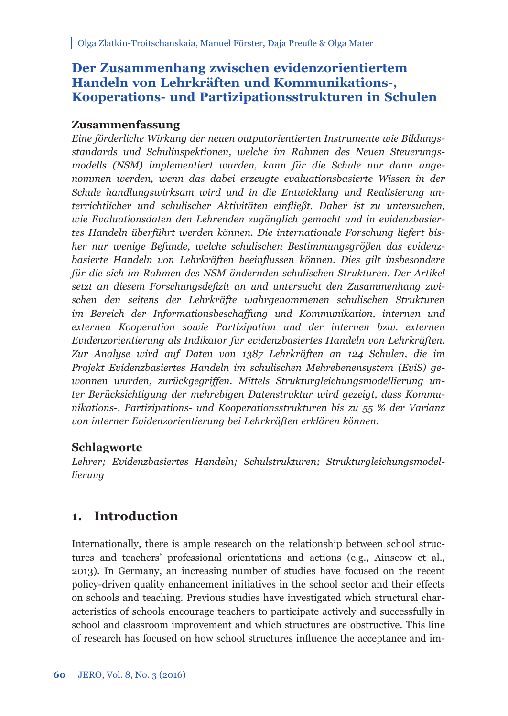# **Der Zusammenhang zwischen evidenzorientiertem Handeln von Lehrkräften und Kommunikations-, Kooperations- und Partizipationsstrukturen in Schulen**

## **Zusammenfassung**

*Eine förderliche Wirkung der neuen outputorientierten Instrumente wie Bildungsstandards und Schulinspektionen, welche im Rahmen des Neuen Steuerungsmodells (NSM) implementiert wurden, kann für die Schule nur dann angenommen werden, wenn das dabei erzeugte evaluationsbasierte Wissen in der Schule handlungswirksam wird und in die Entwicklung und Realisierung unterrichtlicher und schulischer Aktivitäten einfl ießt. Daher ist zu untersuchen, wie Evaluationsdaten den Lehrenden zugänglich gemacht und in evidenzbasiertes Handeln überführt werden können. Die internationale Forschung liefert bisher nur wenige Befunde, welche schulischen Bestimmungsgrößen das evidenzbasierte Handeln von Lehrkräften beeinfl ussen können. Dies gilt insbesondere für die sich im Rahmen des NSM ändernden schulischen Strukturen. Der Artikel*  setzt an diesem Forschungsdefizit an und untersucht den Zusammenhang zwi*schen den seitens der Lehrkräfte wahrgenommenen schulischen Strukturen im Bereich der Informationsbeschaff ung und Kommunikation, internen und externen Kooperation sowie Partizipation und der internen bzw. externen Evidenzorientierung als Indikator für evidenzbasiertes Handeln von Lehrkräften. Zur Analyse wird auf Daten von 1387 Lehrkräften an 124 Schulen, die im Projekt Evidenzbasiertes Handeln im schulischen Mehrebenensystem (EviS) ge*wonnen wurden, zurückgegriffen. Mittels Strukturgleichungsmodellierung un*ter Berücksichtigung der mehrebigen Datenstruktur wird gezeigt, dass Kom munikations-, Partizipations- und Kooperationsstrukturen bis zu 55 % der Varianz von interner Evidenzorientierung bei Lehrkräften erklären können.*

## **Schlagworte**

Lehrer; Evidenzbasiertes Handeln; Schulstrukturen; Strukturgleichungsmodel*lierung*

# **1. Introduction**

Internationally, there is ample research on the relationship between school structures and teachers' professional orientations and actions (e.g., Ainscow et al., 2013). In Germany, an increasing number of studies have focused on the recent policy-driven quality enhancement initiatives in the school sector and their effects on schools and teaching. Previous studies have investigated which structural characteristics of schools encourage teachers to participate actively and successfully in school and classroom improvement and which structures are obstructive. This line of research has focused on how school structures influence the acceptance and im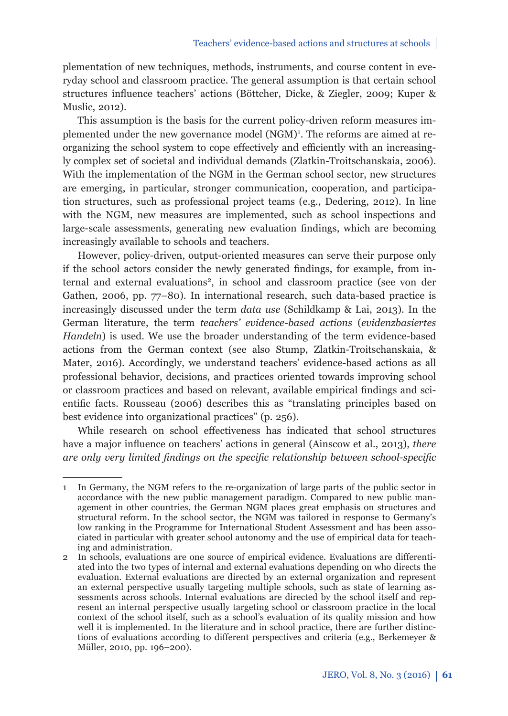plementation of new techniques, methods, instruments, and course content in everyday school and classroom practice. The general assumption is that certain school structures infl uence teachers' actions (Böttcher, Dicke, & Ziegler, 2009; Kuper & Muslic, 2012).

This assumption is the basis for the current policy-driven reform measures implemented under the new governance model (NGM)<sup>1</sup>. The reforms are aimed at reorganizing the school system to cope effectively and efficiently with an increasingly complex set of societal and individual demands (Zlatkin-Troitschanskaia, 2006). With the implementation of the NGM in the German school sector, new structures are emerging, in particular, stronger communication, cooperation, and participation structures, such as professional project teams (e.g., Dedering, 2012). In line with the NGM, new measures are implemented, such as school inspections and large-scale assessments, generating new evaluation findings, which are becoming increasingly available to schools and teachers.

However, policy-driven, output-oriented measures can serve their purpose only if the school actors consider the newly generated findings, for example, from internal and external evaluations2, in school and classroom practice (see von der Gathen, 2006, pp. 77–80). In international research, such data-based practice is increasingly discussed under the term *data use* (Schildkamp & Lai, 2013). In the German literature, the term *teachers' evidence-based actions* (*evidenzbasiertes Handeln*) is used. We use the broader understanding of the term evidence-based actions from the German context (see also Stump, Zlatkin-Troitschanskaia, & Mater, 2016). Accordingly, we understand teachers' evidence-based actions as all professional behavior, decisions, and practices oriented towards improving school or classroom practices and based on relevant, available empirical findings and scientific facts. Rousseau (2006) describes this as "translating principles based on best evidence into organizational practices" (p. 256).

While research on school effectiveness has indicated that school structures have a major influence on teachers' actions in general (Ainscow et al., 2013), *there are only very limited findings on the specific relationship between school-specific* 

<sup>1</sup> In Germany, the NGM refers to the re-organization of large parts of the public sector in accordance with the new public management paradigm. Compared to new public management in other countries, the German NGM places great emphasis on structures and structural reform. In the school sector, the NGM was tailored in response to Germany's low ranking in the Programme for International Student Assessment and has been associated in particular with greater school autonomy and the use of empirical data for teaching and administration.

<sup>2</sup> In schools, evaluations are one source of empirical evidence. Evaluations are differentiated into the two types of internal and external evaluations depending on who directs the evaluation. External evaluations are directed by an external organization and represent an external perspective usually targeting multiple schools, such as state of learning assessments across schools. Internal evaluations are directed by the school itself and represent an internal perspective usually targeting school or classroom practice in the local context of the school itself, such as a school's evaluation of its quality mission and how well it is implemented. In the literature and in school practice, there are further distinctions of evaluations according to different perspectives and criteria (e.g., Berkemeyer & Müller, 2010, pp. 196–200).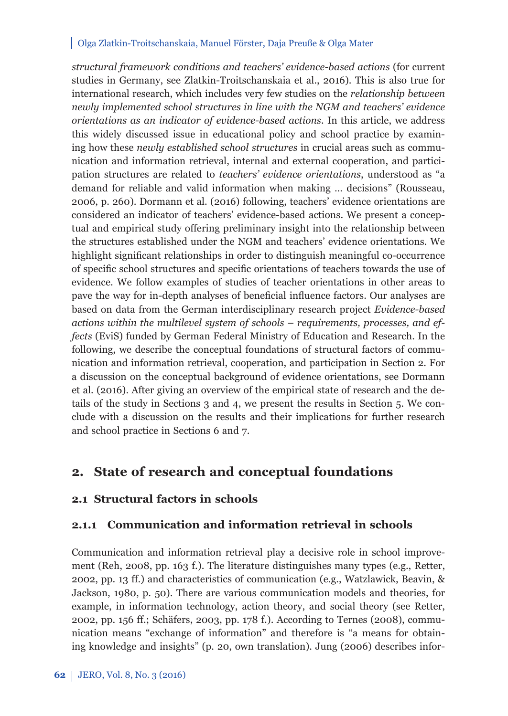*structural framework conditions and teachers' evidence-based actions* (for current studies in Germany, see Zlatkin-Troitschanskaia et al., 2016). This is also true for international research, which includes very few studies on the *relationship between newly implemented school structures in line with the NGM and teachers' evidence orientations as an indicator of evidence-based actions*. In this article, we address this widely discussed issue in educational policy and school practice by examining how these *newly established school structures* in crucial areas such as communication and information retrieval, internal and external cooperation, and participation structures are related to *teachers' evidence orientations*, understood as "a demand for reliable and valid information when making … decisions" (Rousseau, 2006, p. 260). Dormann et al. (2016) following, teachers' evidence orientations are considered an indicator of teachers' evidence-based actions. We present a conceptual and empirical study offering preliminary insight into the relationship between the structures established under the NGM and teachers' evidence orientations. We highlight significant relationships in order to distinguish meaningful co-occurrence of specific school structures and specific orientations of teachers towards the use of evidence. We follow examples of studies of teacher orientations in other areas to pave the way for in-depth analyses of beneficial influence factors. Our analyses are based on data from the German interdisciplinary research project *Evidence-based actions within the multilevel system of schools – requirements, processes, and effects* (EviS) funded by German Federal Ministry of Education and Research. In the following, we describe the conceptual foundations of structural factors of communication and information retrieval, cooperation, and participation in Section 2. For a discussion on the conceptual background of evidence orientations, see Dormann et al. (2016). After giving an overview of the empirical state of research and the details of the study in Sections 3 and 4, we present the results in Section 5. We conclude with a discussion on the results and their implications for further research and school practice in Sections 6 and 7.

# **2. State of research and conceptual foundations**

## **2.1 Structural factors in schools**

### **2.1.1 Communication and information retrieval in schools**

Communication and information retrieval play a decisive role in school improvement (Reh, 2008, pp. 163 f.). The literature distinguishes many types (e.g., Retter, 2002, pp. 13 ff .) and characteristics of communication (e.g., Watzlawick, Beavin, & Jackson, 1980, p. 50). There are various communication models and theories, for example, in information technology, action theory, and social theory (see Retter, 2002, pp. 156 ff .; Schäfers, 2003, pp. 178 f.). According to Ternes (2008), communication means "exchange of information" and therefore is "a means for obtaining knowledge and insights" (p. 20, own translation). Jung (2006) describes infor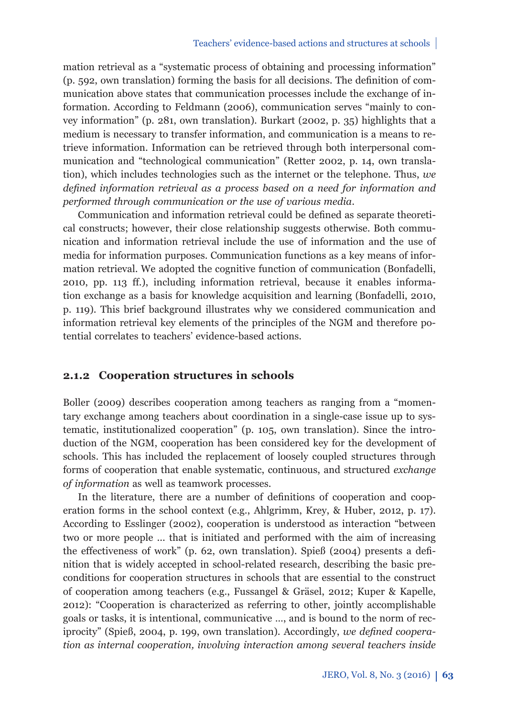mation retrieval as a "systematic process of obtaining and processing information"  $(p, 592, own translation)$  forming the basis for all decisions. The definition of communication above states that communication processes include the exchange of information. According to Feldmann (2006), communication serves "mainly to convey information" (p. 281, own translation). Burkart (2002, p. 35) highlights that a medium is necessary to transfer information, and communication is a means to retrieve information. Information can be retrieved through both interpersonal communication and "technological communication" (Retter 2002, p. 14, own translation), which includes technologies such as the internet or the telephone. Thus, *we defined information retrieval as a process based on a need for information and performed through communication or the use of various media*.

Communication and information retrieval could be defined as separate theoretical constructs; however, their close relationship suggests otherwise. Both communication and information retrieval include the use of information and the use of media for information purposes. Communication functions as a key means of information retrieval. We adopted the cognitive function of communication (Bonfadelli, 2010, pp. 113 ff .), including information retrieval, because it enables information exchange as a basis for knowledge acquisition and learning (Bonfadelli, 2010, p. 119). This brief background illustrates why we considered communication and information retrieval key elements of the principles of the NGM and therefore potential correlates to teachers' evidence-based actions.

### **2.1.2 Cooperation structures in schools**

Boller (2009) describes cooperation among teachers as ranging from a "momentary exchange among teachers about coordination in a single-case issue up to systematic, institutionalized cooperation" (p. 105, own translation). Since the introduction of the NGM, cooperation has been considered key for the development of schools. This has included the replacement of loosely coupled structures through forms of cooperation that enable systematic, continuous, and structured *exchange of information* as well as teamwork processes.

In the literature, there are a number of definitions of cooperation and cooperation forms in the school context (e.g., Ahlgrimm, Krey, & Huber, 2012, p. 17). According to Esslinger (2002), cooperation is understood as interaction "between two or more people ... that is initiated and performed with the aim of increasing the effectiveness of work" (p. 62, own translation). Spieß (2004) presents a definition that is widely accepted in school-related research, describing the basic preconditions for cooperation structures in schools that are essential to the construct of cooperation among teachers (e.g., Fussangel & Gräsel, 2012; Kuper & Kapelle, 2012): "Cooperation is characterized as referring to other, jointly accomplishable goals or tasks, it is intentional, communicative …, and is bound to the norm of reciprocity" (Spieß, 2004, p. 199, own translation). Accordingly, *we defined cooperation as internal cooperation, involving interaction among several teachers inside*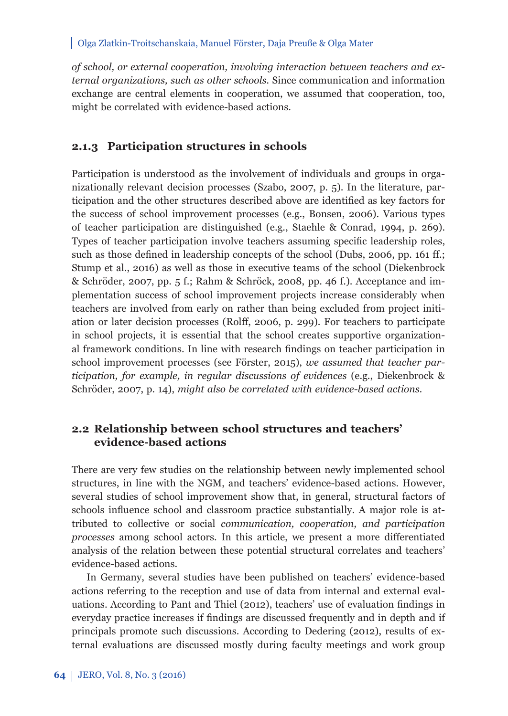*of school, or external cooperation, involving interaction between teachers and external organizations, such as other schools.* Since communication and information exchange are central elements in cooperation, we assumed that cooperation, too, might be correlated with evidence-based actions.

### **2.1.3 Participation structures in schools**

Participation is understood as the involvement of individuals and groups in organizationally relevant decision processes (Szabo, 2007, p. 5). In the literature, participation and the other structures described above are identified as key factors for the success of school improvement processes (e.g., Bonsen, 2006). Various types of teacher participation are distinguished (e.g., Staehle & Conrad, 1994, p. 269). Types of teacher participation involve teachers assuming specific leadership roles, such as those defined in leadership concepts of the school (Dubs, 2006, pp. 161 ff.; Stump et al., 2016) as well as those in executive teams of the school (Diekenbrock & Schröder, 2007, pp. 5 f.; Rahm & Schröck, 2008, pp. 46 f.). Acceptance and implementation success of school improvement projects increase considerably when teachers are involved from early on rather than being excluded from project initiation or later decision processes (Rolff, 2006, p. 299). For teachers to participate in school projects, it is essential that the school creates supportive organizational framework conditions. In line with research findings on teacher participation in school improvement processes (see Förster, 2015), *we assumed that teacher participation, for example, in regular discussions of evidences* (e.g., Diekenbrock & Schröder, 2007, p. 14), *might also be correlated with evidence-based actions.*

## **2.2 Relationship between school structures and teachers' evidence-based actions**

There are very few studies on the relationship between newly implemented school structures, in line with the NGM, and teachers' evidence-based actions. However, several studies of school improvement show that, in general, structural factors of schools influence school and classroom practice substantially. A major role is attributed to collective or social *communication, cooperation, and participation processes* among school actors. In this article, we present a more differentiated analy sis of the relation between these potential structural correlates and teachers' evidence-based actions.

In Germany, several studies have been published on teachers' evidence-based actions referring to the reception and use of data from internal and external evaluations. According to Pant and Thiel (2012), teachers' use of evaluation findings in everyday practice increases if findings are discussed frequently and in depth and if principals promote such discussions. According to Dedering (2012), results of external evaluations are discussed mostly during faculty meetings and work group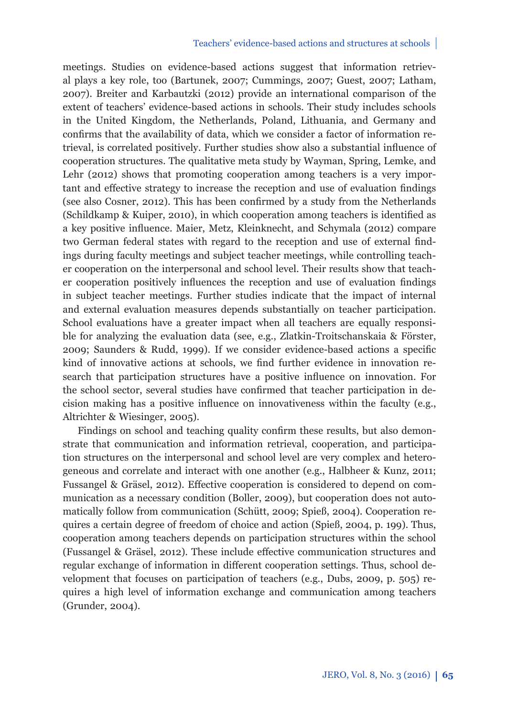meetings. Studies on evidence-based actions suggest that information retrieval plays a key role, too (Bartunek, 2007; Cummings, 2007; Guest, 2007; Latham, 2007). Breiter and Karbautzki (2012) provide an international comparison of the extent of teachers' evidence-based actions in schools. Their study includes schools in the United Kingdom, the Netherlands, Poland, Lithuania, and Germany and confirms that the availability of data, which we consider a factor of information retrieval, is correlated positively. Further studies show also a substantial influence of cooperation structures. The qualitative meta study by Wayman, Spring, Lemke, and Lehr (2012) shows that promoting cooperation among teachers is a very important and effective strategy to increase the reception and use of evaluation findings (see also Cosner, 2012). This has been confirmed by a study from the Netherlands (Schildkamp & Kuiper, 2010), in which cooperation among teachers is identified as a key positive influence. Maier, Metz, Kleinknecht, and Schymala (2012) compare two German federal states with regard to the reception and use of external findings during faculty meetings and subject teacher meetings, while controlling teacher cooperation on the interpersonal and school level. Their results show that teacher cooperation positively influences the reception and use of evaluation findings in subject teacher meetings. Further studies indicate that the impact of internal and external evaluation measures depends substantially on teacher participation. School evaluations have a greater impact when all teachers are equally responsible for analyzing the evaluation data (see, e.g., Zlatkin-Troitschanskaia & Förster, 2009; Saunders & Rudd, 1999). If we consider evidence-based actions a specific kind of innovative actions at schools, we find further evidence in innovation research that participation structures have a positive influence on innovation. For the school sector, several studies have confirmed that teacher participation in decision making has a positive influence on innovativeness within the faculty (e.g., Altrichter & Wiesinger, 2005).

Findings on school and teaching quality confirm these results, but also demonstrate that communication and information retrieval, cooperation, and participation structures on the interpersonal and school level are very complex and heterogeneous and correlate and interact with one another (e.g., Halbheer & Kunz, 2011; Fussangel & Gräsel, 2012). Effective cooperation is considered to depend on communication as a necessary condition (Boller, 2009), but cooperation does not automatically follow from communication (Schütt, 2009; Spieß, 2004). Cooperation requires a certain degree of freedom of choice and action (Spieß, 2004, p. 199). Thus, cooperation among teachers depends on participation structures within the school (Fussangel & Gräsel, 2012). These include effective communication structures and regular exchange of information in different cooperation settings. Thus, school development that focuses on participation of teachers (e.g., Dubs, 2009, p. 505) requires a high level of information exchange and communication among teachers (Grunder, 2004).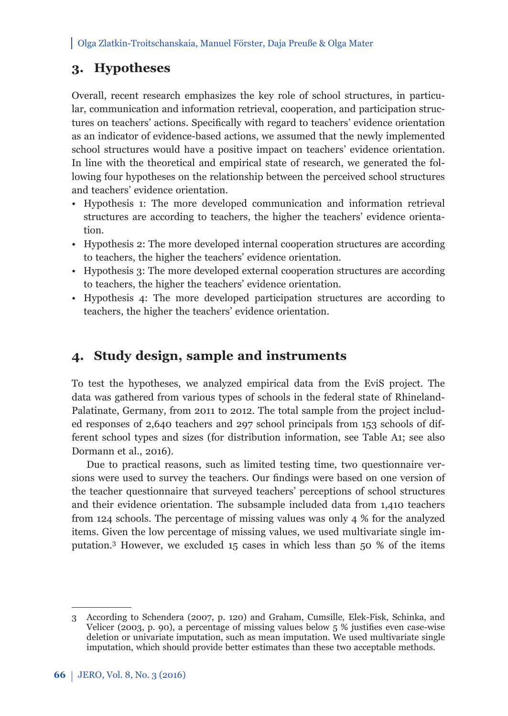# **3. Hypotheses**

Overall, recent research emphasizes the key role of school structures, in particular, communication and information retrieval, cooperation, and participation structures on teachers' actions. Specifically with regard to teachers' evidence orientation as an indicator of evidence-based actions, we assumed that the newly implemented school structures would have a positive impact on teachers' evidence orientation. In line with the theoretical and empirical state of research, we generated the following four hypotheses on the relationship between the perceived school structures and teachers' evidence orientation.

- Hypothesis 1: The more developed communication and information retrieval structures are according to teachers, the higher the teachers' evidence orientation.
- Hypothesis 2: The more developed internal cooperation structures are according to teachers, the higher the teachers' evidence orientation.
- Hypothesis 3: The more developed external cooperation structures are according to teachers, the higher the teachers' evidence orientation.
- Hypothesis 4: The more developed participation structures are according to teachers, the higher the teachers' evidence orientation.

# **4. Study design, sample and instruments**

To test the hypotheses, we analyzed empirical data from the EviS project. The data was gathered from various types of schools in the federal state of Rhineland-Palatinate, Germany, from 2011 to 2012. The total sample from the project included responses of 2,640 teachers and 297 school principals from 153 schools of different school types and sizes (for distribution information, see Table A1; see also Dormann et al., 2016).

Due to practical reasons, such as limited testing time, two questionnaire versions were used to survey the teachers. Our findings were based on one version of the teacher questionnaire that surveyed teachers' perceptions of school structures and their evidence orientation. The subsample included data from 1,410 teachers from 124 schools. The percentage of missing values was only 4 % for the analyzed items. Given the low percentage of missing values, we used multivariate single imputation.3 However, we excluded 15 cases in which less than 50 % of the items

<sup>3</sup> According to Schendera (2007, p. 120) and Graham, Cumsille, Elek-Fisk, Schinka, and Velicer (2003, p. 90), a percentage of missing values below  $5\%$  justifies even case-wise deletion or univariate imputation, such as mean imputation. We used multivariate single imputation, which should provide better estimates than these two acceptable methods.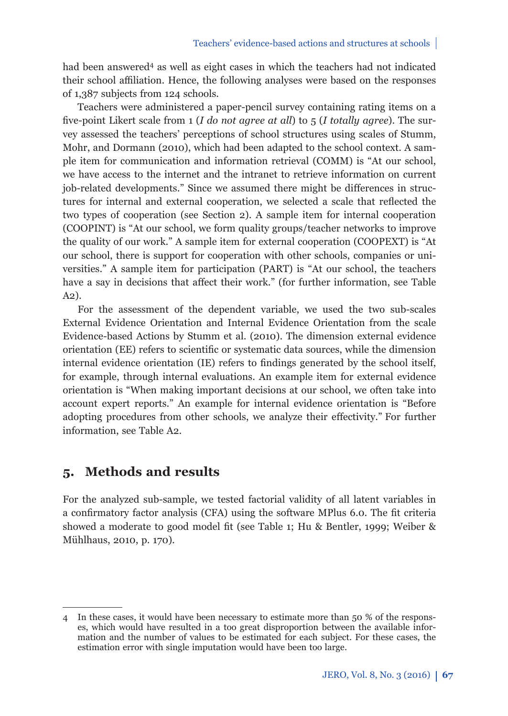had been answered<sup>4</sup> as well as eight cases in which the teachers had not indicated their school affiliation. Hence, the following analyses were based on the responses of 1,387 subjects from 124 schools.

Teachers were administered a paper-pencil survey containing rating items on a five-point Likert scale from 1 (*I do not agree at all*) to 5 (*I totally agree*). The survey assessed the teachers' perceptions of school structures using scales of Stumm, Mohr, and Dormann (2010), which had been adapted to the school context. A sample item for communication and information retrieval (COMM) is "At our school, we have access to the internet and the intranet to retrieve information on current job-related developments." Since we assumed there might be differences in structures for internal and external cooperation, we selected a scale that reflected the two types of cooperation (see Section 2). A sample item for internal cooperation (COOPINT) is "At our school, we form quality groups/teacher networks to improve the quality of our work." A sample item for external cooperation (COOPEXT) is "At our school, there is support for cooperation with other schools, companies or universities." A sample item for participation (PART) is "At our school, the teachers have a say in decisions that affect their work." (for further information, see Table A2).

For the assessment of the dependent variable, we used the two sub-scales External Evidence Orientation and Internal Evidence Orientation from the scale Evidence-based Actions by Stumm et al. (2010). The dimension external evidence orientation (EE) refers to scientific or systematic data sources, while the dimension internal evidence orientation (IE) refers to findings generated by the school itself, for example, through internal evaluations. An example item for external evidence orientation is "When making important decisions at our school, we often take into account expert reports." An example for internal evidence orientation is "Before adopting procedures from other schools, we analyze their effectivity." For further information, see Table A2.

## **5. Methods and results**

For the analyzed sub-sample, we tested factorial validity of all latent variables in a confirmatory factor analysis (CFA) using the software MPlus 6.0. The fit criteria showed a moderate to good model fit (see Table 1; Hu & Bentler, 1999; Weiber & Mühlhaus, 2010, p. 170).

<sup>4</sup> In these cases, it would have been necessary to estimate more than 50 % of the responses, which would have resulted in a too great disproportion between the available information and the number of values to be estimated for each subject. For these cases, the estimation error with single imputation would have been too large.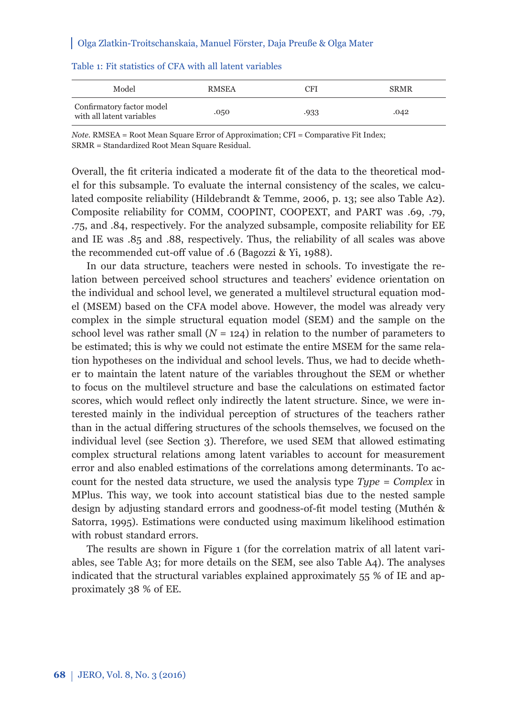| Model                                                  | <b>RMSEA</b> | <b>CFI</b> | <b>SRMR</b> |
|--------------------------------------------------------|--------------|------------|-------------|
| Confirmatory factor model<br>with all latent variables | .050         | .933       | .042        |

### Table 1: Fit statistics of CFA with all latent variables

*Note.* RMSEA = Root Mean Square Error of Approximation; CFI = Comparative Fit Index; SRMR = Standardized Root Mean Square Residual.

Overall, the fit criteria indicated a moderate fit of the data to the theoretical model for this subsample. To evaluate the internal consistency of the scales, we calculated composite reliability (Hildebrandt & Temme, 2006, p. 13; see also Table A2). Composite reliability for COMM, COOPINT, COOPEXT, and PART was .69, .79, .75, and .84, respectively. For the analyzed subsample, composite reliability for EE and IE was .85 and .88, respectively. Thus, the reliability of all scales was above the recommended cut-off value of .6 (Bagozzi & Yi, 1988).

In our data structure, teachers were nested in schools. To investigate the relation between perceived school structures and teachers' evidence orientation on the individual and school level, we generated a multilevel structural equation model (MSEM) based on the CFA model above. However, the model was already very complex in the simple structural equation model (SEM) and the sample on the school level was rather small  $(N = 124)$  in relation to the number of parameters to be estimated; this is why we could not estimate the entire MSEM for the same relation hypotheses on the individual and school levels. Thus, we had to decide whether to maintain the latent nature of the variables throughout the SEM or whether to focus on the multilevel structure and base the calculations on estimated factor scores, which would reflect only indirectly the latent structure. Since, we were interested mainly in the individual perception of structures of the teachers rather than in the actual differing structures of the schools themselves, we focused on the individual level (see Section 3). Therefore, we used SEM that allowed estimating complex structural relations among latent variables to account for measurement error and also enabled estimations of the correlations among determinants. To account for the nested data structure, we used the analysis type *Type = Complex* in MPlus. This way, we took into account statistical bias due to the nested sample design by adjusting standard errors and goodness-of-fi t model testing (Muthén & Satorra, 1995). Estimations were conducted using maximum likelihood estimation with robust standard errors.

The results are shown in Figure 1 (for the correlation matrix of all latent variables, see Table A3; for more details on the SEM, see also Table A4). The analyses indicated that the structural variables explained approximately 55 % of IE and approximately 38 % of EE.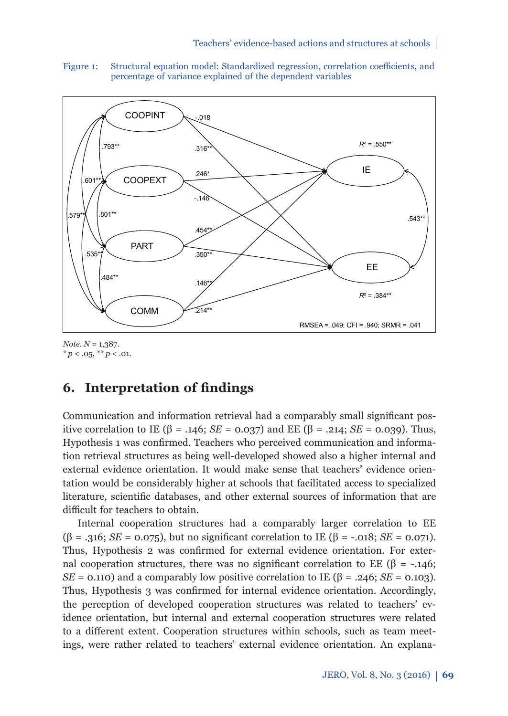Figure 1: Structural equation model: Standardized regression, correlation coefficients, and percentage of variance explained of the dependent variables



*Note*. *N* = 1,387.  $* p < .05, ** p < .01.$ 

# **6.** Interpretation of findings

Communication and information retrieval had a comparably small significant positive correlation to IE (β = .146; *SE* = 0.037) and EE (β = .214; *SE* = 0.039). Thus, Hypothesis 1 was confirmed. Teachers who perceived communication and information retrieval structures as being well-developed showed also a higher internal and external evidence orientation. It would make sense that teachers' evidence orientation would be considerably higher at schools that facilitated access to specialized literature, scientific databases, and other external sources of information that are difficult for teachers to obtain.

Internal cooperation structures had a comparably larger correlation to EE ( $\beta$  = .316; *SE* = 0.075), but no significant correlation to IE ( $\beta$  = -.018; *SE* = 0.071). Thus, Hypothesis 2 was confirmed for external evidence orientation. For external cooperation structures, there was no significant correlation to EE (β = -.146; *SE* = 0.110) and a comparably low positive correlation to IE ( $\beta$  = .246; *SE* = 0.103). Thus, Hypothesis 3 was confirmed for internal evidence orientation. Accordingly, the perception of developed cooperation structures was related to teachers' evidence orientation, but internal and external cooperation structures were related to a different extent. Cooperation structures within schools, such as team meetings, were rather related to teachers' external evidence orientation. An explana-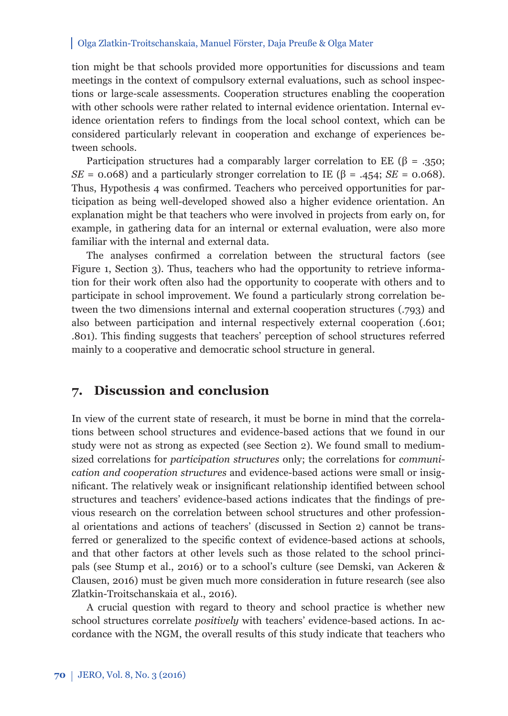tion might be that schools provided more opportunities for discussions and team meetings in the context of compulsory external evaluations, such as school inspections or large-scale assessments. Cooperation structures enabling the cooperation with other schools were rather related to internal evidence orientation. Internal evidence orientation refers to findings from the local school context, which can be considered particularly relevant in cooperation and exchange of experiences between schools.

Participation structures had a comparably larger correlation to EE ( $\beta$  = .350; *SE* = 0.068) and a particularly stronger correlation to IE ( $\beta$  = .454; *SE* = 0.068). Thus, Hypothesis 4 was confirmed. Teachers who perceived opportunities for participation as being well-developed showed also a higher evidence orientation. An explanation might be that teachers who were involved in projects from early on, for example, in gathering data for an internal or external evaluation, were also more familiar with the internal and external data.

The analyses confirmed a correlation between the structural factors (see Figure 1, Section 3). Thus, teachers who had the opportunity to retrieve information for their work often also had the opportunity to cooperate with others and to participate in school improvement. We found a particularly strong correlation between the two dimensions internal and external cooperation structures (.793) and also between participation and internal respectively external cooperation (.601; .801). This finding suggests that teachers' perception of school structures referred mainly to a cooperative and democratic school structure in general.

## **7. Discussion and conclusion**

In view of the current state of research, it must be borne in mind that the correlations between school structures and evidence-based actions that we found in our study were not as strong as expected (see Section 2). We found small to mediumsized correlations for *participation structures* only; the correlations for *communication and cooperation structures* and evidence-based actions were small or insignificant. The relatively weak or insignificant relationship identified between school structures and teachers' evidence-based actions indicates that the findings of previous research on the correlation between school structures and other professional orientations and actions of teachers' (discussed in Section 2) cannot be transferred or generalized to the specific context of evidence-based actions at schools, and that other factors at other levels such as those related to the school principals (see Stump et al., 2016) or to a school's culture (see Demski, van Ackeren & Clausen, 2016) must be given much more consideration in future research (see also Zlatkin-Troitschanskaia et al., 2016).

A crucial question with regard to theory and school practice is whether new school structures correlate *positively* with teachers' evidence-based actions. In accordance with the NGM, the overall results of this study indicate that teachers who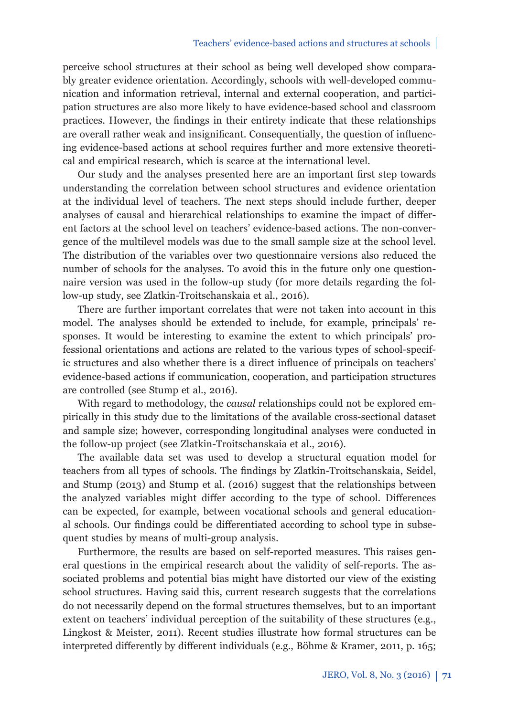perceive school structures at their school as being well developed show comparably greater evidence orientation. Accordingly, schools with well-developed communication and information retrieval, internal and external cooperation, and participation structures are also more likely to have evidence-based school and classroom practices. However, the findings in their entirety indicate that these relationships are overall rather weak and insignificant. Consequentially, the question of influencing evidence-based actions at school requires further and more extensive theoretical and empirical research, which is scarce at the international level.

Our study and the analyses presented here are an important first step towards understanding the correlation between school structures and evidence orientation at the individual level of teachers. The next steps should include further, deeper analyses of causal and hierarchical relationships to examine the impact of different factors at the school level on teachers' evidence-based actions. The non-convergence of the multilevel models was due to the small sample size at the school level. The distribution of the variables over two questionnaire versions also reduced the number of schools for the analyses. To avoid this in the future only one questionnaire version was used in the follow-up study (for more details regarding the follow-up study, see Zlatkin-Troitschanskaia et al., 2016).

There are further important correlates that were not taken into account in this model. The analyses should be extended to include, for example, principals' responses. It would be interesting to examine the extent to which principals' professional orientations and actions are related to the various types of school-specific structures and also whether there is a direct influence of principals on teachers' evidence-based actions if communication, cooperation, and participation structures are controlled (see Stump et al., 2016).

With regard to methodology, the *causal* relationships could not be explored empirically in this study due to the limitations of the available cross-sectional dataset and sample size; however, corresponding longitudinal analyses were conducted in the follow-up project (see Zlatkin-Troitschanskaia et al., 2016).

The available data set was used to develop a structural equation model for teachers from all types of schools. The findings by Zlatkin-Troitschanskaia, Seidel, and Stump (2013) and Stump et al. (2016) suggest that the relationships between the analyzed variables might differ according to the type of school. Differences can be expected, for example, between vocational schools and general educational schools. Our findings could be differentiated according to school type in subsequent studies by means of multi-group analysis.

Furthermore, the results are based on self-reported measures. This raises general questions in the empirical research about the validity of self-reports. The associated problems and potential bias might have distorted our view of the existing school structures. Having said this, current research suggests that the correlations do not necessarily depend on the formal structures themselves, but to an important extent on teachers' individual perception of the suitability of these structures (e.g., Lingkost & Meister, 2011). Recent studies illustrate how formal structures can be interpreted differently by different individuals (e.g., Böhme & Kramer, 2011, p. 165;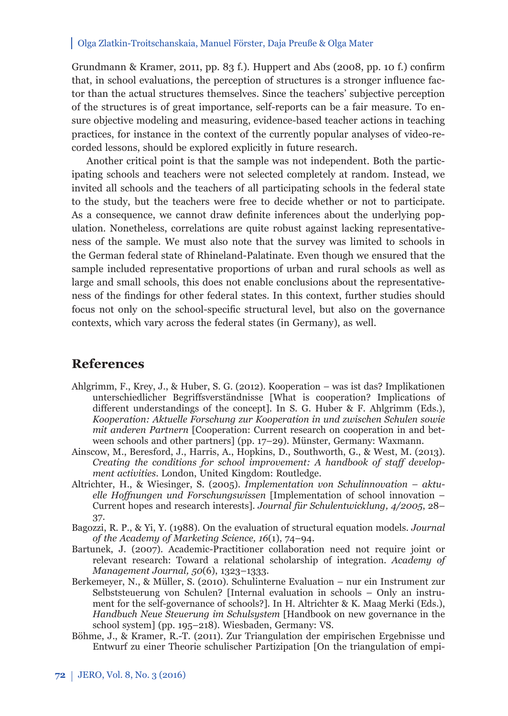Grundmann & Kramer, 2011, pp. 83 f.). Huppert and Abs (2008, pp. 10 f.) confirm that, in school evaluations, the perception of structures is a stronger influence factor than the actual structures themselves. Since the teachers' subjective perception of the structures is of great importance, self-reports can be a fair measure. To ensure objective modeling and measuring, evidence-based teacher actions in teaching practices, for instance in the context of the currently popular analyses of video-recorded lessons, should be explored explicitly in future research.

Another critical point is that the sample was not independent. Both the participating schools and teachers were not selected completely at random. Instead, we invited all schools and the teachers of all participating schools in the federal state to the study, but the teachers were free to decide whether or not to participate. As a consequence, we cannot draw definite inferences about the underlying population. Nonetheless, correlations are quite robust against lacking representativeness of the sample. We must also note that the survey was limited to schools in the German federal state of Rhineland-Palatinate. Even though we ensured that the sample included representative proportions of urban and rural schools as well as large and small schools, this does not enable conclusions about the representativeness of the findings for other federal states. In this context, further studies should focus not only on the school-specifi c structural level, but also on the governance contexts, which vary across the federal states (in Germany), as well.

## **References**

- Ahlgrimm, F., Krey, J., & Huber, S. G. (2012). Kooperation *–* was ist das? Implikationen unterschiedlicher Begriffsverständnisse [What is cooperation? Implications of different understandings of the concept]. In S. G. Huber & F. Ahlgrimm (Eds.), *Kooperation: Aktuelle Forschung zur Kooperation in und zwischen Schulen sowie mit anderen Partnern* [Cooperation: Current research on cooperation in and between schools and other partners] (pp. 17–29). Münster, Germany: Waxmann.
- Ainscow, M., Beresford, J., Harris, A., Hopkins, D., Southworth, G., & West, M. (2013). *Creating the conditions for school improvement: A handbook of staff development activities*. London, United Kingdom: Routledge.
- Altrichter, H., & Wiesinger, S. (2005). *Implementation von Schulinnovation aktuelle Hoff nungen und Forschungswissen* [Implementation of school innovation – Current hopes and research interests]. *Journal für Schulentwicklung, 4/2005*, 28– 37.
- Bagozzi, R. P., & Yi, Y. (1988). On the evaluation of structural equation models. *Journal of the Academy of Marketing Science, 16*(1), 74–94.
- Bartunek, J. (2007). Academic-Practitioner collaboration need not require joint or relevant research: Toward a relational scholarship of integration. *Academy of Management Journal, 50*(6), 1323–1333.
- Berkemeyer, N., & Müller, S. (2010). Schulinterne Evaluation nur ein Instrument zur Selbststeuerung von Schulen? [Internal evaluation in schools – Only an instrument for the self-governance of schools?]. In H. Altrichter & K. Maag Merki (Eds.), *Handbuch Neue Steuerung im Schulsystem* [Handbook on new governance in the school system] (pp. 195–218). Wiesbaden, Germany: VS.
- Böhme, J., & Kramer, R.-T. (2011). Zur Triangulation der empirischen Ergebnisse und Entwurf zu einer Theorie schulischer Partizipation [On the triangulation of empi-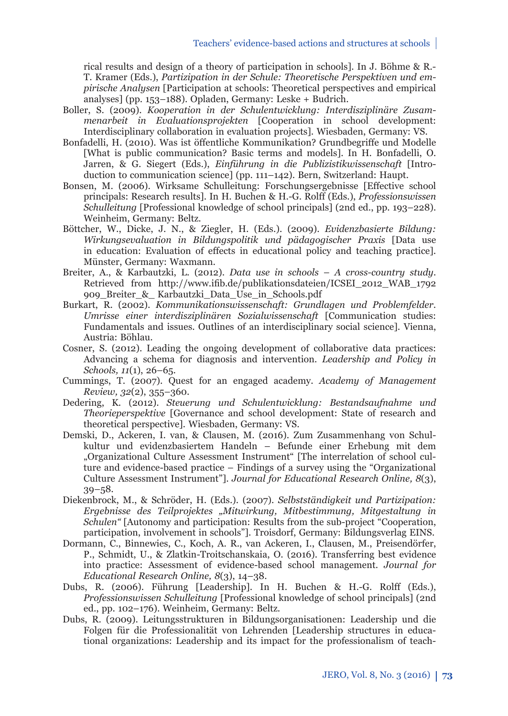rical results and design of a theory of participation in schools]. In J. Böhme & R.- T. Kramer (Eds.), *Partizipation in der Schule: Theoretische Perspektiven und empirische Analysen* [Participation at schools: Theoretical perspectives and empirical analyses] (pp. 153–188). Opladen, Germany: Leske + Budrich.

- Boller, S. (2009). *Kooperation in der Schulentwicklung: Interdisziplinäre Zusammen arbeit in Evaluationsprojekten* [Cooperation in school development: Interdisciplinary collaboration in evaluation projects]*.* Wiesbaden, Germany: VS.
- Bonfadelli, H. (2010). Was ist öffentliche Kommunikation? Grundbegriffe und Modelle [What is public communication? Basic terms and models]. In H. Bonfadelli, O. Jarren, & G. Siegert (Eds.), *Einführung in die Publizistikwissenschaft* [Introduction to communication science] (pp. 111–142). Bern, Switzerland: Haupt.
- Bonsen, M. (2006). Wirksame Schulleitung: Forschungsergebnisse [Effective school] principals: Research results]. In H. Buchen & H.-G. Rolff (Eds.), *Professionswissen Schulleitung* [Professional knowledge of school principals] (2nd ed., pp. 193–228). Weinheim, Germany: Beltz.
- Böttcher, W., Dicke, J. N., & Ziegler, H. (Eds.). (2009). *Evidenzbasierte Bildung: Wirkungsevaluation in Bildungspolitik und pädagogischer Praxis* [Data use in education: Evaluation of effects in educational policy and teaching practice]. Münster, Germany: Waxmann.
- Breiter, A., & Karbautzki, L. (2012). *Data use in schools* – *A cross-country study*. Retrieved from http://www.ifib.de/publikationsdateien/ICSEI\_2012\_WAB\_1792 909\_Breiter\_&\_ Karbautzki\_Data\_Use\_in\_Schools.pdf
- Burkart, R. (2002). *Kommunikationswissenschaft: Grundlagen und Problemfelder. Umrisse einer interdisziplinären Sozialwissenschaft* [Communication studies: Fundamentals and issues. Outlines of an interdisciplinary social science]*.* Vienna, Austria: Böhlau.
- Cosner, S. (2012). Leading the ongoing development of collaborative data practices: Advancing a schema for diagnosis and intervention. *Leadership and Policy in Schools, 11*(1), 26–65.
- Cummings, T. (2007). Quest for an engaged academy. *Academy of Management Review, 32*(2), 355–360.
- Dedering, K. (2012). *Steuerung und Schulentwicklung: Bestandsaufnahme und Theorieperspektive* [Governance and school development: State of research and theoretical perspective]*.* Wiesbaden, Germany: VS.
- Demski, D., Ackeren, I. van, & Clausen, M. (2016). Zum Zusammenhang von Schulkultur und evidenzbasiertem Handeln – Befunde einer Erhebung mit dem "Organizational Culture Assessment Instrument" [The interrelation of school culture and evidence-based practice – Findings of a survey using the "Organizational Culture Assessment Instrument"]. *Journal for Educational Research Online, 8*(3), 39–58.
- Diekenbrock, M., & Schröder, H. (Eds.). (2007). *Selbstständigkeit und Partizipation: Ergebnisse des Teilprojektes "Mitwirkung, Mitbestimmung, Mitgestaltung in Schulen"* [Autonomy and participation: Results from the sub-project "Cooperation, participation, involvement in schools"]. Troisdorf, Germany: Bildungsverlag EINS.
- Dormann, C., Binnewies, C., Koch, A. R., van Ackeren, I., Clausen, M., Preisendörfer, P., Schmidt, U., & Zlatkin-Troitschanskaia, O. (2016). Transferring best evidence into practice: Assessment of evidence-based school management. *Journal for Educational Research Online, 8*(3), 14–38.
- Dubs, R. (2006). Führung [Leadership]. In H. Buchen & H.-G. Rolff (Eds.), *Professionswissen Schulleitung* [Professional knowledge of school principals] (2nd ed., pp. 102–176). Weinheim, Germany: Beltz.
- Dubs, R. (2009). Leitungsstrukturen in Bildungsorganisationen: Leadership und die Folgen für die Professionalität von Lehrenden [Leadership structures in educational organizations: Leadership and its impact for the professionalism of teach-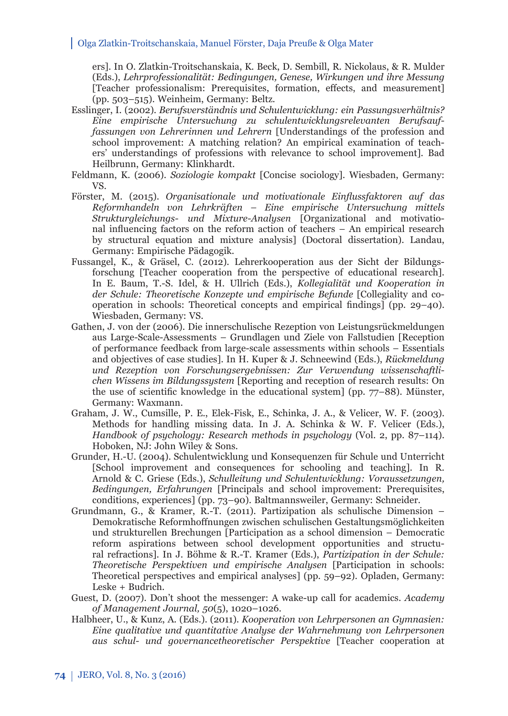ers]. In O. Zlatkin-Troitschanskaia, K. Beck, D. Sembill, R. Nickolaus, & R. Mulder (Eds.), *Lehrprofessionalität: Bedingungen, Genese, Wirkungen und ihre Messung*  [Teacher professionalism: Prerequisites, formation, effects, and measurement] (pp. 503–515). Weinheim, Germany: Beltz.

- Esslinger, I. (2002). *Berufsverständnis und Schulentwicklung: ein Passungsverhältnis? Eine empirische Untersuchung zu schulentwicklungsrelevanten Berufsauffassungen von Lehrerinnen und Lehrern* [Understandings of the profession and school improvement: A matching relation? An empirical examination of teachers' understandings of professions with relevance to school improvement]*.* Bad Heilbrunn, Germany: Klinkhardt.
- Feldmann, K. (2006). *Soziologie kompakt* [Concise sociology]. Wiesbaden, Germany: VS.
- Förster, M. (2015). *Organisationale und motivationale Einflussfaktoren auf das Reform handeln von Lehrkräften – Eine empirische Untersuchung mittels Struktur gleichungs- und Mixture-Analysen* [Organizational and motivational influencing factors on the reform action of teachers – An empirical research by structural equation and mixture analysis] (Doctoral dissertation). Landau, Germany: Empirische Pädagogik.
- Fussangel, K., & Gräsel, C. (2012). Lehrerkooperation aus der Sicht der Bildungsforschung [Teacher cooperation from the perspective of educational research]. In E. Baum, T.-S. Idel, & H. Ullrich (Eds.), *Kollegialität und Kooperation in*  der Schule: Theoretische Konzepte und empirische Befunde [Collegiality and cooperation in schools: Theoretical concepts and empirical findings] (pp.  $29-40$ ). Wiesbaden, Germany: VS.
- Gathen, J. von der (2006). Die innerschulische Rezeption von Leistungsrückmeldungen aus Large-Scale-Assessments – Grundlagen und Ziele von Fallstudien [Reception of performance feedback from large-scale assessments within schools – Essentials and objectives of case studies]. In H. Kuper & J. Schneewind (Eds.), *Rückmeldung und Rezeption von Forschungsergebnissen: Zur Verwendung wissenschaftlichen Wissens im Bildungssystem* [Reporting and reception of research results: On the use of scientific knowledge in the educational system] (pp.  $77-88$ ). Münster, Germany: Waxmann.
- Graham, J. W., Cumsille, P. E., Elek-Fisk, E., Schinka, J. A., & Velicer, W. F. (2003). Methods for handling missing data. In J. A. Schinka & W. F. Velicer (Eds.), *Handbook of psychology: Research methods in psychology* (Vol. 2, pp. 87–114). Hoboken, NJ: John Wiley & Sons.
- Grunder, H.-U. (2004). Schulentwicklung und Konsequenzen für Schule und Unterricht [School improvement and consequences for schooling and teaching]. In R. Arnold & C. Griese (Eds.), *Schulleitung und Schulentwicklung: Voraussetzungen, Bedingungen, Erfahrungen* [Principals and school improvement: Prerequisites, conditions, experiences] (pp. 73–90). Baltmannsweiler, Germany: Schneider.
- Grundmann, G., & Kramer, R.-T. (2011). Partizipation als schulische Dimension Demokratische Reformhoffnungen zwischen schulischen Gestaltungsmöglichkeiten und strukturellen Brechungen [Participation as a school dimension – Democratic reform aspirations between school development opportunities and structural refractions]. In J. Böhme & R.-T. Kramer (Eds.), *Partizipation in der Schule: Theoretische Perspektiven und empirische Analysen* [Participation in schools: Theoretical perspectives and empirical analyses] (pp. 59–92). Opladen, Germany: Leske + Budrich.
- Guest, D. (2007). Don't shoot the messenger: A wake-up call for academics. *Academy of Management Journal, 50*(5), 1020–1026.
- Halbheer, U., & Kunz, A. (Eds.). (2011). *Kooperation von Lehrpersonen an Gymnasien: Eine qualitative und quantitative Analyse der Wahrnehmung von Lehrpersonen aus schul- und governancetheoretischer Perspektive* [Teacher cooperation at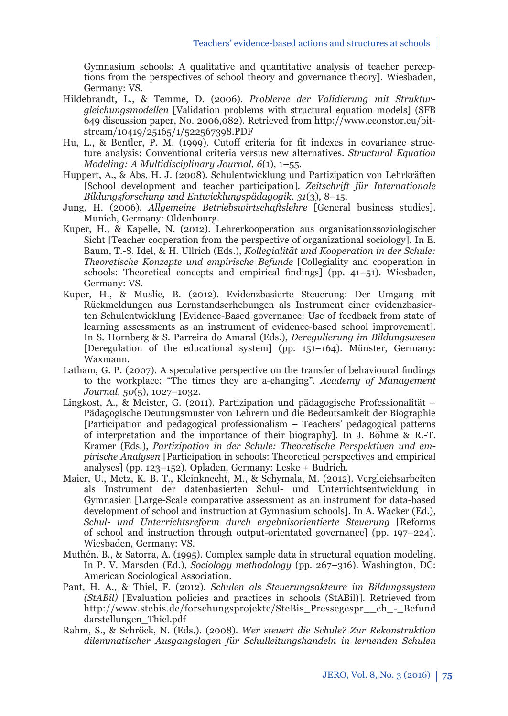Gymnasium schools: A qualitative and quantitative analysis of teacher perceptions from the perspectives of school theory and governance theory]*.* Wiesbaden, Germany: VS.

- Hildebrandt, L., & Temme, D. (2006). *Probleme der Validierung mit Strukturgleichungsmodellen* [Validation problems with structural equation models] (SFB 649 discussion paper, No. 2006,082). Retrieved from http://www.econstor.eu/bitstream/10419/25165/1/522567398.PDF
- Hu, L., & Bentler, P. M. (1999). Cutoff criteria for fi t indexes in covariance structure analysis: Conventional criteria versus new alternatives. *Structural Equation Modeling: A Multidisciplinary Journal, 6*(1), 1–55.
- Huppert, A., & Abs, H. J. (2008). Schulentwicklung und Partizipation von Lehrkräften [School development and teacher participation]. *Zeitschrift für Internationale Bildungsforschung und Entwicklungspädagogik, 31*(3), 8–15.
- Jung, H. (2006). *Allgemeine Betriebswirtschaftslehre* [General business studies]. Munich, Germany: Oldenbourg.
- Kuper, H., & Kapelle, N. (2012). Lehrerkooperation aus organisationssoziologischer Sicht [Teacher cooperation from the perspective of organizational sociology]. In E. Baum, T.-S. Idel, & H. Ullrich (Eds.), *Kollegialität und Kooperation in der Schule: Theoretische Konzepte und empirische Befunde* [Collegiality and cooperation in schools: Theoretical concepts and empirical findings] (pp.  $41-51$ ). Wiesbaden, Germany: VS.
- Kuper, H., & Muslic, B. (2012). Evidenzbasierte Steuerung: Der Umgang mit Rückmeldungen aus Lernstandserhebungen als Instrument einer evidenzbasierten Schulentwicklung [Evidence-Based governance: Use of feedback from state of learning assessments as an instrument of evidence-based school improvement]. In S. Hornberg & S. Parreira do Amaral (Eds.), *Deregulierung im Bildungswesen*  [Deregulation of the educational system] (pp. 151–164). Münster, Germany: Waxmann.
- Latham, G. P. (2007). A speculative perspective on the transfer of behavioural findings to the workplace: "The times they are a-changing". *Academy of Management Journal, 50*(5), 1027–1032.
- Lingkost, A., & Meister, G. (2011). Partizipation und pädagogische Professionalität Pädagogische Deutungsmuster von Lehrern und die Bedeutsamkeit der Biographie [Participation and pedagogical professionalism – Teachers' pedagogical patterns of interpretation and the importance of their biography]. In J. Böhme & R.-T. Kramer (Eds.), *Partizipation in der Schule: Theoretische Perspektiven und empirische Analysen* [Participation in schools: Theoretical perspectives and empirical analyses] (pp. 123–152). Opladen, Germany: Leske + Budrich.
- Maier, U., Metz, K. B. T., Kleinknecht, M., & Schymala, M. (2012). Vergleichsarbeiten als Instrument der datenbasierten Schul- und Unterrichtsentwicklung in Gymnasien [Large-Scale comparative assessment as an instrument for data-based development of school and instruction at Gymnasium schools]. In A. Wacker (Ed.), *Schul- und Unterrichtsreform durch ergebnisorientierte Steuerung* [Reforms of school and instruction through output-orientated governance] (pp. 197–224). Wiesbaden, Germany: VS.
- Muthén, B., & Satorra, A. (1995). Complex sample data in structural equation modeling. In P. V. Marsden (Ed.), *Sociology methodology* (pp. 267–316). Washington, DC: American Sociological Association.
- Pant, H. A., & Thiel, F. (2012). *Schulen als Steuerungsakteure im Bildungssystem (StABil)* [Evaluation policies and practices in schools (StABil)]. Retrieved from http://www.stebis.de/forschungsprojekte/SteBis\_Pressegespr\_\_ch\_-\_Befund darstellungen\_Thiel.pdf
- Rahm, S., & Schröck, N. (Eds.). (2008). *Wer steuert die Schule? Zur Rekonstruktion dilemmatischer Ausgangslagen für Schulleitungshandeln in lernenden Schulen*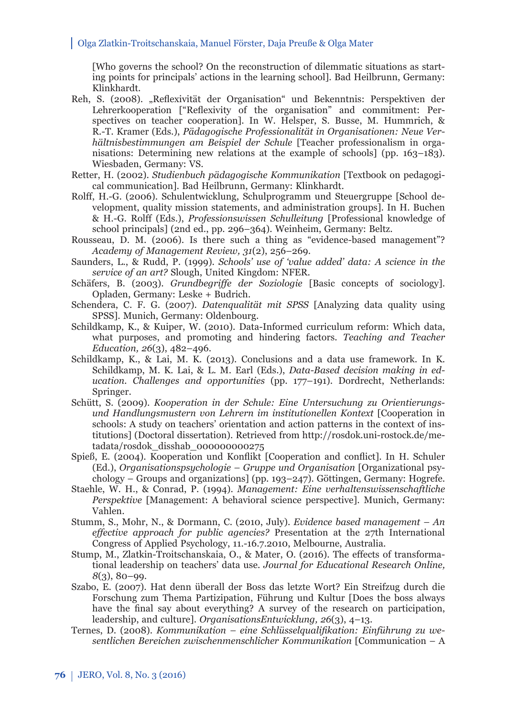[Who governs the school? On the reconstruction of dilemmatic situations as starting points for principals' actions in the learning school]. Bad Heilbrunn, Germany: Klinkhardt.

- Reh, S. (2008). "Reflexivität der Organisation" und Bekenntnis: Perspektiven der Lehrerkooperation ["Reflexivity of the organisation" and commitment: Perspectives on teacher cooperation]. In W. Helsper, S. Busse, M. Hummrich, & R.-T. Kramer (Eds.), *Pädagogische Professionalität in Organisationen: Neue Verhältnisbestimmungen am Beispiel der Schule* [Teacher professionalism in organisations: Determining new relations at the example of schools] (pp. 163–183). Wiesbaden, Germany: VS.
- Retter, H. (2002). *Studienbuch pädagogische Kommunikation* [Textbook on pedagogical communication]*.* Bad Heilbrunn, Germany: Klinkhardt.
- Rolff , H.-G. (2006). Schulentwicklung, Schulprogramm und Steuergruppe [School development, quality mission statements, and administration groups]. In H. Buchen & H.-G. Rolff (Eds.), *Professionswissen Schulleitung* [Professional knowledge of school principals] (2nd ed., pp. 296–364). Weinheim, Germany: Beltz.
- Rousseau, D. M. (2006). Is there such a thing as "evidence-based management"? *Academy of Management Review, 31*(2), 256–269.
- Saunders, L., & Rudd, P. (1999). *Schools' use of 'value added' data: A science in the service of an art?* Slough, United Kingdom: NFER.
- Schäfers, B. (2003). *Grundbegriffe der Soziologie* [Basic concepts of sociology]. Opladen, Germany: Leske + Budrich.
- Schendera, C. F. G. (2007). *Datenqualität mit SPSS* [Analyzing data quality using SPSS]. Munich, Germany: Oldenbourg.
- Schildkamp, K., & Kuiper, W. (2010). Data-Informed curriculum reform: Which data, what purposes, and promoting and hindering factors. *Teaching and Teacher Education, 26*(3), 482–496.
- Schildkamp, K., & Lai, M. K. (2013). Conclusions and a data use framework. In K. Schildkamp, M. K. Lai, & L. M. Earl (Eds.), *Data-Based decision making in education. Challenges and opportunities* (pp. 177–191). Dordrecht, Netherlands: Springer.
- Schütt, S. (2009). *Kooperation in der Schule: Eine Untersuchung zu Orientierungsund Handlungsmustern von Lehrern im institutionellen Kontext* [Cooperation in schools: A study on teachers' orientation and action patterns in the context of institutions] (Doctoral dissertation). Retrieved from http://rosdok.uni-rostock.de/metadata/rosdok\_disshab\_000000000275
- Spieß, E. (2004). Kooperation und Konflikt [Cooperation and conflict]. In H. Schuler (Ed.), *Organisationspsychologie – Gruppe und Organisation* [Organizational psychology – Groups and organizations] (pp. 193–247). Göttingen, Germany: Hogrefe.
- Staehle, W. H., & Conrad, P. (1994). *Management: Eine verhaltenswissenschaftliche Perspektive* [Management: A behavioral science perspective]. Munich, Germany: Vahlen.
- Stumm, S., Mohr, N., & Dormann, C. (2010, July). *Evidence based management An eff ective approach for public agencies?* Presentation at the 27th International Congress of Applied Psychology, 11.-16.7.2010, Melbourne, Australia.
- Stump, M., Zlatkin-Troitschanskaia, O., & Mater, O. (2016). The effects of transformational leadership on teachers' data use. *Journal for Educational Research Online, 8*(3), 80–99.
- Szabo, E. (2007). Hat denn überall der Boss das letzte Wort? Ein Streifzug durch die Forschung zum Thema Partizipation, Führung und Kultur [Does the boss always have the final say about everything? A survey of the research on participation, leadership, and culture]. *OrganisationsEntwicklung, 26*(3), 4–13.
- Ternes, D. (2008). *Kommunikation eine Schlüsselqualifikation: Einführung zu wesentlichen Bereichen zwischenmenschlicher Kommunikation* [Communication – A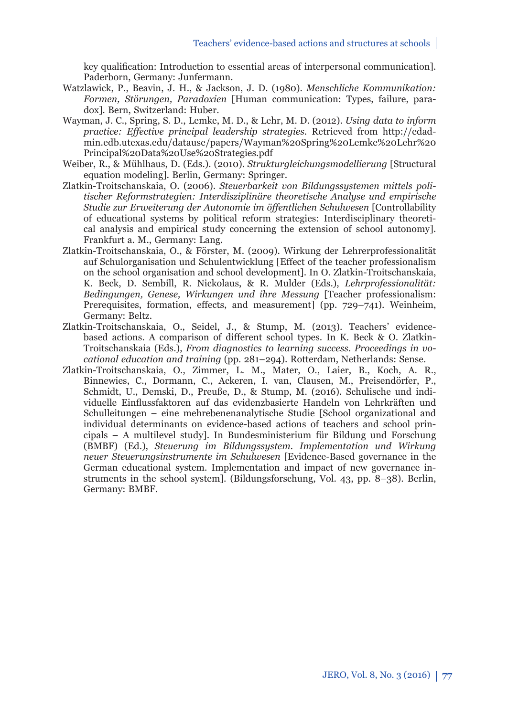key qualification: Introduction to essential areas of interpersonal communication]. Paderborn, Germany: Junfermann.

- Watzlawick, P., Beavin, J. H., & Jackson, J. D. (1980). *Menschliche Kommunikation: Formen, Störungen, Paradoxien* [Human communication: Types, failure, paradox]*.* Bern, Switzerland: Huber.
- Wayman, J. C., Spring, S. D., Lemke, M. D., & Lehr, M. D. (2012). *Using data to inform practice: Eff ective principal leadership strategies*. Retrieved from http://edadmin.edb.utexas.edu/datause/papers/Wayman%20Spring%20Lemke%20Lehr%20 Principal%20Data%20Use%20Strategies.pdf
- Weiber, R., & Mühlhaus, D. (Eds.). (2010). *Strukturgleichungsmodellierung* [Structural equation modeling]*.* Berlin, Germany: Springer.
- Zlatkin-Troitschanskaia, O. (2006). *Steuerbarkeit von Bildungssystemen mittels politischer Reformstrategien: Interdisziplinäre theoretische Analyse und empirische Studie zur Erweiterung der Autonomie im öff entlichen Schulwesen* [Controllability of educational systems by political reform strategies: Interdisciplinary theoretical analysis and empirical study concerning the extension of school autonomy]. Frankfurt a. M., Germany: Lang.
- Zlatkin-Troitschanskaia, O., & Förster, M. (2009). Wirkung der Lehrerprofessionalität auf Schulorganisation und Schulentwicklung [Effect of the teacher professionalism] on the school organisation and school development]. In O. Zlatkin-Troitschanskaia, K. Beck, D. Sembill, R. Nickolaus, & R. Mulder (Eds.), *Lehrprofessionalität: Bedingungen, Genese, Wirkungen und ihre Messung* [Teacher professionalism: Prerequisites, formation, effects, and measurement] (pp. 729–741). Weinheim, Germany: Beltz.
- Zlatkin-Troitschanskaia, O., Seidel, J., & Stump, M. (2013). Teachers' evidencebased actions. A comparison of different school types. In K. Beck & O. Zlatkin-Troitschanskaia (Eds.), *From diagnostics to learning success. Proceedings in vocational education and training* (pp. 281–294). Rotterdam, Netherlands: Sense.
- Zlatkin-Troitschanskaia, O., Zimmer, L. M., Mater, O., Laier, B., Koch, A. R., Binnewies, C., Dormann, C., Ackeren, I. van, Clausen, M., Preisendörfer, P., Schmidt, U., Demski, D., Preuße, D., & Stump, M. (2016). Schulische und individuelle Einflussfaktoren auf das evidenzbasierte Handeln von Lehrkräften und Schulleitungen – eine mehrebenenanalytische Studie [School organizational and individual determinants on evidence-based actions of teachers and school principals – A multilevel study]. In Bundesministerium für Bildung und Forschung (BMBF) (Ed.), *Steuerung im Bildungssystem. Implementation und Wirkung neuer Steuerungsinstrumente im Schulwesen* [Evidence-Based governance in the German educational system. Implementation and impact of new governance instruments in the school system]. (Bildungsforschung, Vol. 43, pp. 8–38). Berlin, Germany: BMBF.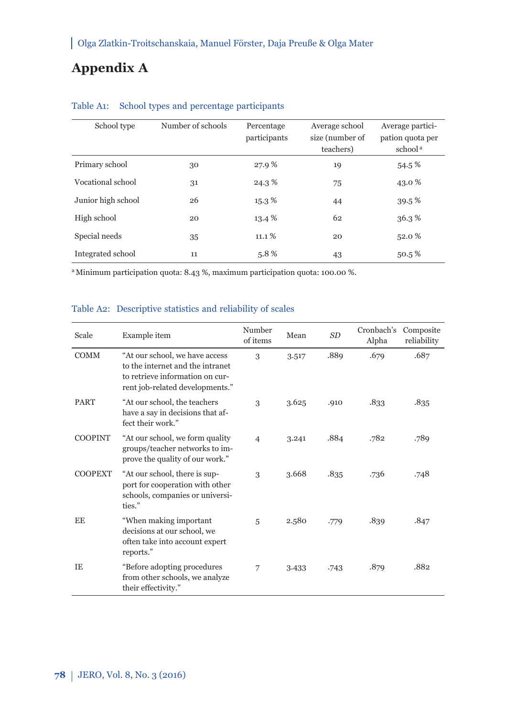# **Appendix A**

| School type        | Number of schools | Percentage<br>participants | Average school<br>size (number of<br>teachers) | Average partici-<br>pation quota per<br>school <sup>a</sup> |
|--------------------|-------------------|----------------------------|------------------------------------------------|-------------------------------------------------------------|
| Primary school     | 30                | 27.9%                      | 19                                             | 54.5%                                                       |
| Vocational school  | 31                | 24.3%                      | 75                                             | 43.0 %                                                      |
| Junior high school | 26                | 15.3%                      | 44                                             | 39.5%                                                       |
| High school        | 20                | 13.4 %                     | 62                                             | 36.3%                                                       |
| Special needs      | 35                | 11.1%                      | 20                                             | 52.0 %                                                      |
| Integrated school  | 11                | 5.8%                       | 43                                             | 50.5%                                                       |

## Table A1: School types and percentage participants

a Minimum participation quota: 8.43 %, maximum participation quota: 100.00 %.

### Table A2: Descriptive statistics and reliability of scales

| Scale          | Example item                                                                                                                             | Number<br>of items | Mean  | <b>SD</b> | Cronbach's<br>Alpha | Composite<br>reliability |
|----------------|------------------------------------------------------------------------------------------------------------------------------------------|--------------------|-------|-----------|---------------------|--------------------------|
| <b>COMM</b>    | "At our school, we have access<br>to the internet and the intranet<br>to retrieve information on cur-<br>rent job-related developments." | 3                  | 3.517 | .889      | .679                | .687                     |
| <b>PART</b>    | "At our school, the teachers<br>have a say in decisions that af-<br>fect their work."                                                    | 3                  | 3.625 | .910      | .833                | .835                     |
| <b>COOPINT</b> | "At our school, we form quality<br>groups/teacher networks to im-<br>prove the quality of our work."                                     | $\overline{4}$     | 3.241 | .884      | .782                | .789                     |
| <b>COOPEXT</b> | "At our school, there is sup-<br>port for cooperation with other<br>schools, companies or universi-<br>ties."                            | 3                  | 3.668 | .835      | .736                | .748                     |
| EE             | "When making important<br>decisions at our school, we<br>often take into account expert<br>reports."                                     | 5                  | 2.580 | .779      | .839                | .847                     |
| TE.            | "Before adopting procedures"<br>from other schools, we analyze<br>their effectivity."                                                    | 7                  | 3.433 | .743      | .879                | .882                     |